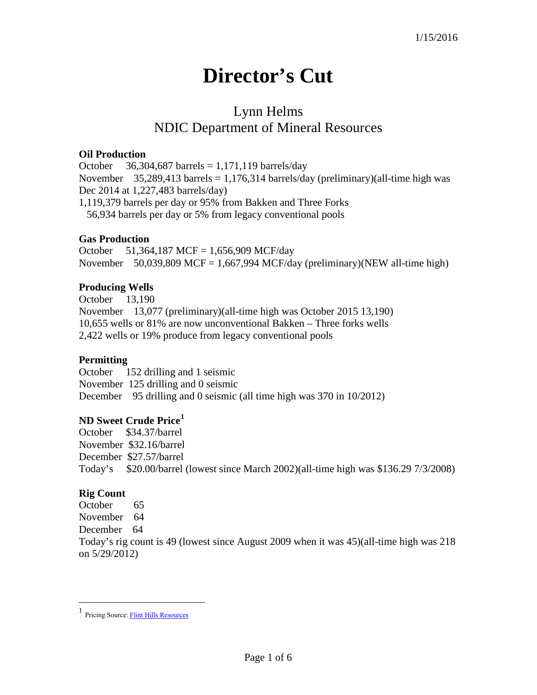# **Director's Cut**

# Lynn Helms NDIC Department of Mineral Resources

#### **Oil Production**

October  $36,304,687$  barrels = 1,171,119 barrels/day November 35,289,413 barrels = 1,176,314 barrels/day (preliminary)(all-time high was Dec 2014 at 1,227,483 barrels/day) 1,119,379 barrels per day or 95% from Bakken and Three Forks 56,934 barrels per day or 5% from legacy conventional pools

#### **Gas Production**

October 51,364,187 MCF = 1,656,909 MCF/day November 50,039,809 MCF = 1,667,994 MCF/day (preliminary)(NEW all-time high)

# **Producing Wells**

October 13,190 November 13,077 (preliminary)(all-time high was October 2015 13,190) 10,655 wells or 81% are now unconventional Bakken – Three forks wells 2,422 wells or 19% produce from legacy conventional pools

# **Permitting**

October 152 drilling and 1 seismic November 125 drilling and 0 seismic December 95 drilling and 0 seismic (all time high was 370 in 10/2012)

#### **ND Sweet Crude Price[1](#page-0-0)**

October \$34.37/barrel November \$32.16/barrel December \$27.57/barrel Today's \$20.00/barrel (lowest since March 2002)(all-time high was \$136.29 7/3/2008)

# **Rig Count**

 $\overline{a}$ 

October 65 November 64 December 64 Today's rig count is 49 (lowest since August 2009 when it was 45)(all-time high was 218 on 5/29/2012)

<span id="page-0-0"></span><sup>1</sup> Pricing Source[: Flint Hills Resources](http://www.fhr.com/refining/bulletins.aspx?AspxAutoDetectCookieSupport=1)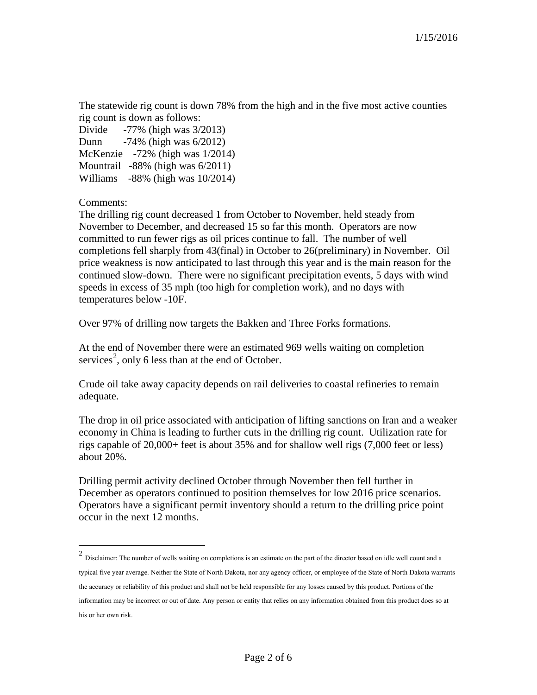The statewide rig count is down 78% from the high and in the five most active counties rig count is down as follows:

| Divide | $-77\%$ (high was $3/2013$ )           |
|--------|----------------------------------------|
| Dunn   | $-74\%$ (high was $6/2012$ )           |
|        | McKenzie $-72\%$ (high was $1/2014$ )  |
|        | Mountrail $-88\%$ (high was $6/2011$ ) |
|        | Williams -88% (high was 10/2014)       |

Comments:

 $\overline{a}$ 

The drilling rig count decreased 1 from October to November, held steady from November to December, and decreased 15 so far this month. Operators are now committed to run fewer rigs as oil prices continue to fall. The number of well completions fell sharply from 43(final) in October to 26(preliminary) in November. Oil price weakness is now anticipated to last through this year and is the main reason for the continued slow-down. There were no significant precipitation events, 5 days with wind speeds in excess of 35 mph (too high for completion work), and no days with temperatures below -10F.

Over 97% of drilling now targets the Bakken and Three Forks formations.

At the end of November there were an estimated 969 wells waiting on completion services<sup>[2](#page-1-0)</sup>, only 6 less than at the end of October.

Crude oil take away capacity depends on rail deliveries to coastal refineries to remain adequate.

The drop in oil price associated with anticipation of lifting sanctions on Iran and a weaker economy in China is leading to further cuts in the drilling rig count. Utilization rate for rigs capable of 20,000+ feet is about 35% and for shallow well rigs (7,000 feet or less) about 20%.

Drilling permit activity declined October through November then fell further in December as operators continued to position themselves for low 2016 price scenarios. Operators have a significant permit inventory should a return to the drilling price point occur in the next 12 months.

<span id="page-1-0"></span> $2$  Disclaimer: The number of wells waiting on completions is an estimate on the part of the director based on idle well count and a typical five year average. Neither the State of North Dakota, nor any agency officer, or employee of the State of North Dakota warrants the accuracy or reliability of this product and shall not be held responsible for any losses caused by this product. Portions of the information may be incorrect or out of date. Any person or entity that relies on any information obtained from this product does so at his or her own risk.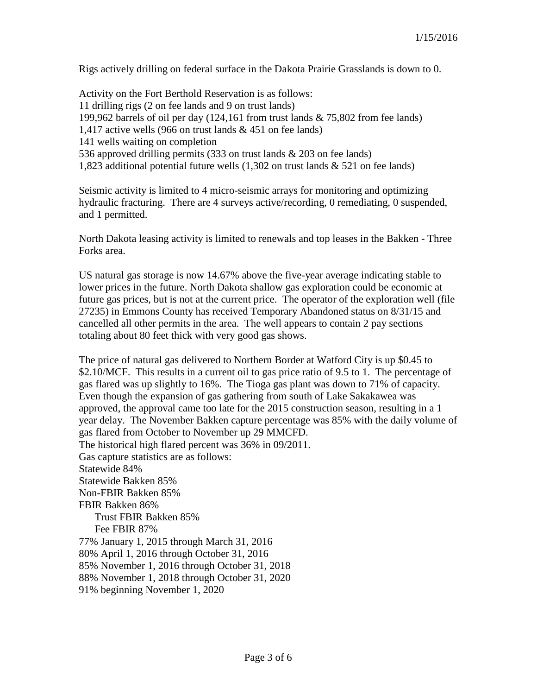Rigs actively drilling on federal surface in the Dakota Prairie Grasslands is down to 0.

Activity on the Fort Berthold Reservation is as follows: 11 drilling rigs (2 on fee lands and 9 on trust lands) 199,962 barrels of oil per day (124,161 from trust lands & 75,802 from fee lands) 1,417 active wells (966 on trust lands & 451 on fee lands) 141 wells waiting on completion 536 approved drilling permits (333 on trust lands & 203 on fee lands) 1,823 additional potential future wells (1,302 on trust lands & 521 on fee lands)

Seismic activity is limited to 4 micro-seismic arrays for monitoring and optimizing hydraulic fracturing. There are 4 surveys active/recording, 0 remediating, 0 suspended, and 1 permitted.

North Dakota leasing activity is limited to renewals and top leases in the Bakken - Three Forks area.

US natural gas storage is now 14.67% above the five-year average indicating stable to lower prices in the future. North Dakota shallow gas exploration could be economic at future gas prices, but is not at the current price. The operator of the exploration well (file 27235) in Emmons County has received Temporary Abandoned status on 8/31/15 and cancelled all other permits in the area. The well appears to contain 2 pay sections totaling about 80 feet thick with very good gas shows.

The price of natural gas delivered to Northern Border at Watford City is up \$0.45 to \$2.10/MCF. This results in a current oil to gas price ratio of 9.5 to 1. The percentage of gas flared was up slightly to 16%. The Tioga gas plant was down to 71% of capacity. Even though the expansion of gas gathering from south of Lake Sakakawea was approved, the approval came too late for the 2015 construction season, resulting in a 1 year delay. The November Bakken capture percentage was 85% with the daily volume of gas flared from October to November up 29 MMCFD. The historical high flared percent was 36% in 09/2011. Gas capture statistics are as follows: Statewide 84% Statewide Bakken 85% Non-FBIR Bakken 85% FBIR Bakken 86% Trust FBIR Bakken 85% Fee FBIR 87% 77% January 1, 2015 through March 31, 2016 80% April 1, 2016 through October 31, 2016 85% November 1, 2016 through October 31, 2018 88% November 1, 2018 through October 31, 2020 91% beginning November 1, 2020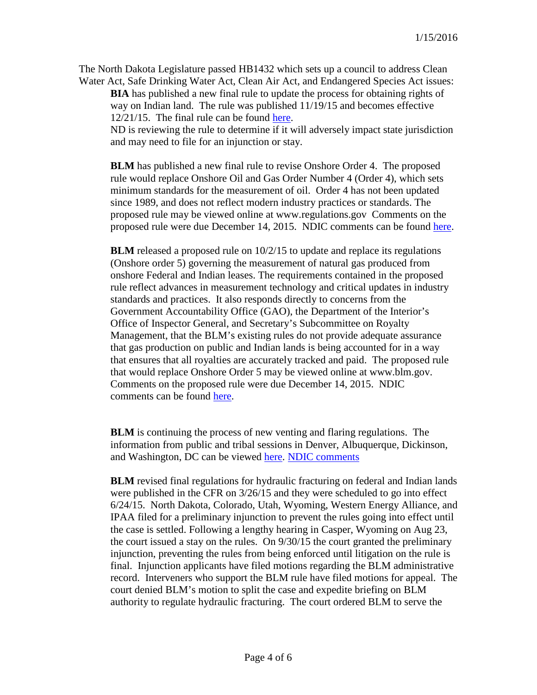The North Dakota Legislature passed HB1432 which sets up a council to address Clean Water Act, Safe Drinking Water Act, Clean Air Act, and Endangered Species Act issues:

**BIA** has published a new final rule to update the process for obtaining rights of way on Indian land. The rule was published 11/19/15 and becomes effective 12/21/15. The final rule can be found [here.](https://www.federalregister.gov/articles/2015/11/19/2015-28548/rights-of-way-on-indian-land)

ND is reviewing the rule to determine if it will adversely impact state jurisdiction and may need to file for an injunction or stay.

**BLM** has published a new final rule to revise Onshore Order 4. The proposed rule would replace Onshore Oil and Gas Order Number 4 (Order 4), which sets minimum standards for the measurement of oil. Order 4 has not been updated since 1989, and does not reflect modern industry practices or standards. The proposed rule may be viewed online at www.regulations.gov Comments on the proposed rule were due December 14, 2015. NDIC comments can be found [here.](http://www.nd.gov/ndic/ic-press/BLM-Comments-OnshoreOrder4.pdf)

**BLM** released a proposed rule on 10/2/15 to update and replace its regulations (Onshore order 5) governing the measurement of natural gas produced from onshore Federal and Indian leases. The requirements contained in the proposed rule reflect advances in measurement technology and critical updates in industry standards and practices. It also responds directly to concerns from the Government Accountability Office (GAO), the Department of the Interior's Office of Inspector General, and Secretary's Subcommittee on Royalty Management, that the BLM's existing rules do not provide adequate assurance that gas production on public and Indian lands is being accounted for in a way that ensures that all royalties are accurately tracked and paid. The proposed rule that would replace Onshore Order 5 may be viewed online at www.blm.gov. Comments on the proposed rule were due December 14, 2015. NDIC comments can be found [here.](http://www.nd.gov/ndic/ic-press/BLM-Comments-OnshoreOrder4.pdf)

**BLM** is continuing the process of new venting and flaring regulations. The information from public and tribal sessions in Denver, Albuquerque, Dickinson, and Washington, DC can be viewed [here.](http://www.blm.gov/wo/st/en/prog/energy/oil_and_gas/public_events_on_oil.html) [NDIC comments](http://www.nd.gov/ndic/ic-press/BLM-comments-140509.pdf)

**BLM** revised final regulations for hydraulic fracturing on federal and Indian lands were published in the CFR on 3/26/15 and they were scheduled to go into effect 6/24/15. North Dakota, Colorado, Utah, Wyoming, Western Energy Alliance, and IPAA filed for a preliminary injunction to prevent the rules going into effect until the case is settled. Following a lengthy hearing in Casper, Wyoming on Aug 23, the court issued a stay on the rules. On 9/30/15 the court granted the preliminary injunction, preventing the rules from being enforced until litigation on the rule is final. Injunction applicants have filed motions regarding the BLM administrative record. Interveners who support the BLM rule have filed motions for appeal. The court denied BLM's motion to split the case and expedite briefing on BLM authority to regulate hydraulic fracturing. The court ordered BLM to serve the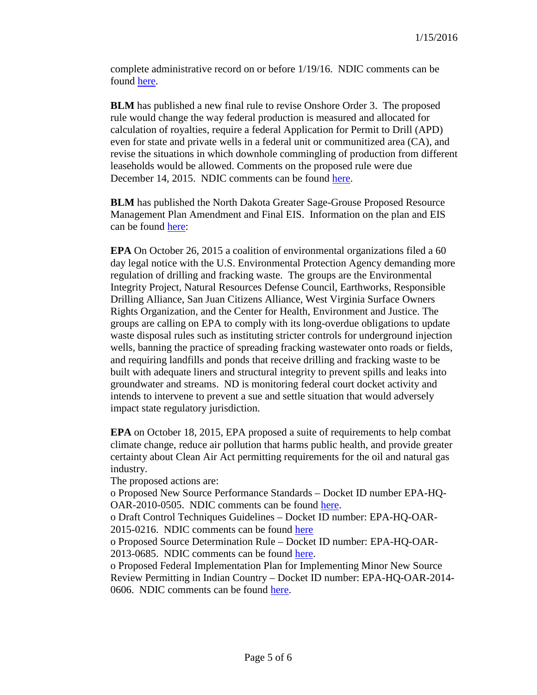complete administrative record on or before 1/19/16. NDIC comments can be found [here.](http://www.nd.gov/ndic/ic-press/BLM-comments-120625.pdf)

**BLM** has published a new final rule to revise Onshore Order 3. The proposed rule would change the way federal production is measured and allocated for calculation of royalties, require a federal Application for Permit to Drill (APD) even for state and private wells in a federal unit or communitized area (CA), and revise the situations in which downhole commingling of production from different leaseholds would be allowed. Comments on the proposed rule were due December 14, 2015. NDIC comments can be found [here.](http://www.nd.gov/ndic/ic-press/BLM-Comments-OnshoreOrder3.pdf)

**BLM** has published the North Dakota Greater Sage-Grouse Proposed Resource Management Plan Amendment and Final EIS. Information on the plan and EIS can be found [here:](ttps://www.blm.gov/epl-front-office/eplanning/planAndProjectSite.do?methodName=dispatchToPatternPage¤tPageId=48797)

**EPA** On October 26, 2015 a coalition of environmental organizations filed a 60 day legal notice with the U.S. Environmental Protection Agency demanding more regulation of drilling and fracking waste. The groups are the Environmental Integrity Project, Natural Resources Defense Council, Earthworks, Responsible Drilling Alliance, San Juan Citizens Alliance, West Virginia Surface Owners Rights Organization, and the Center for Health, Environment and Justice. The groups are calling on EPA to comply with its long-overdue obligations to update waste disposal rules such as instituting stricter controls for underground injection wells, banning the practice of spreading fracking wastewater onto roads or fields, and requiring landfills and ponds that receive drilling and fracking waste to be built with adequate liners and structural integrity to prevent spills and leaks into groundwater and streams. ND is monitoring federal court docket activity and intends to intervene to prevent a sue and settle situation that would adversely impact state regulatory jurisdiction.

**EPA** on October 18, 2015, EPA proposed a suite of requirements to help combat climate change, reduce air pollution that harms public health, and provide greater certainty about Clean Air Act permitting requirements for the oil and natural gas industry.

The proposed actions are:

o Proposed New Source Performance Standards – Docket ID number EPA-HQ-OAR-2010-0505. NDIC comments can be found [here.](http://www.nd.gov/ndic/ic-press/EPA-HQ-OAR-2010-0505.pdf)

o Draft Control Techniques Guidelines – Docket ID number: EPA-HQ-OAR-2015-0216. NDIC comments can be found [here](http://www.nd.gov/ndic/ic-press/EPA-HQ-OAR-2015-0216.pdf)

o Proposed Source Determination Rule – Docket ID number: EPA-HQ-OAR-2013-0685. NDIC comments can be found [here.](http://www.nd.gov/ndic/ic-press/EPA-HQ-OAR-2013-0685.pdf)

o Proposed Federal Implementation Plan for Implementing Minor New Source Review Permitting in Indian Country – Docket ID number: EPA-HQ-OAR-2014- 0606. NDIC comments can be found [here.](http://www.nd.gov/ndic/ic-press/EPA-HQ-OAR-2014-0606.pdf)